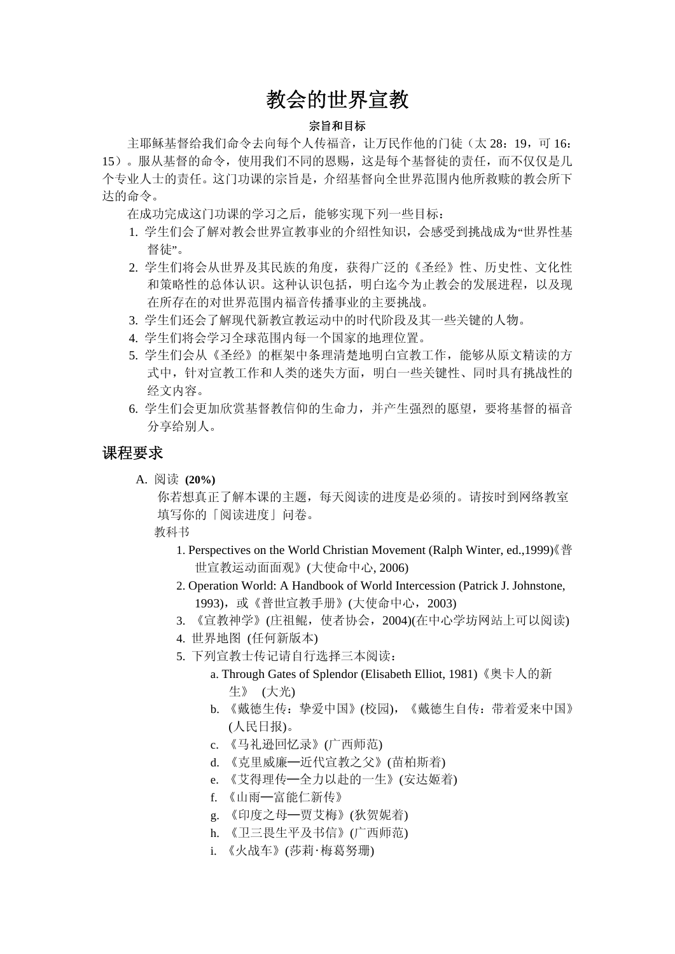# 教会的世界宣教

#### 宗旨和目标

主耶稣基督给我们命令去向每个人传福音,让万民作他的门徒(太 28: 19, 可 16: 15)。服从基督的命令,使用我们不同的恩赐,这是每个基督徒的责任,而不仅仅是几 个专业人士的责任。这门功课的宗旨是,介绍基督向全世界范围内他所救赎的教会所下 达的命令。

在成功完成这门功课的学习之后,能够实现下列一些目标:

- 1. 学生们会了解对教会世界宣教事业的介绍性知识,会感受到挑战成为"世界性基 督徒"。
- 2. 学生们将会从世界及其民族的角度,获得广泛的《圣经》性、历史性、文化性 和策略性的总体认识。这种认识包括,明白迄今为止教会的发展进程,以及现 在所存在的对世界范围内福音传播事业的主要挑战。
- 3. 学生们还会了解现代新教宣教运动中的时代阶段及其一些关键的人物。
- 4. 学生们将会学习全球范围内每一个国家的地理位置。
- 5. 学生们会从《圣经》的框架中条理清楚地明白宣教工作,能够从原文精读的方 式中,针对宣教工作和人类的迷失方面,明白一些关键性、同时具有挑战性的 经文内容。
- 6. 学生们会更加欣赏基督教信仰的生命力,并产生强烈的愿望,要将基督的福音 分享给别人。

# 课程要求

A. 阅读 **(20%)** 

你若想真正了解本课的主题,每天阅读的进度是必须的。请按时到网络教室 填写你的「阅读进度」问卷。

教科书

- 1. Perspectives on the World Christian Movement (Ralph Winter, ed.,1999)《普 世宣教运动面面观》(大使命中心, 2006)
- 2. Operation World: A Handbook of World Intercession (Patrick J. Johnstone, 1993),或《普世宣教手册》(大使命中心,2003)
- 3. 《宣教神学》(庄祖鲲,使者协会,2004)(在中心学坊网站上可以阅读)
- 4. 世界地图 (任何新版本)
- 5. 下列宣教士传记请自行选择三本阅读:
	- a. Through Gates of Splendor (Elisabeth Elliot, 1981)《奥卡人的新 生》 (大光)
	- b. 《戴德生传:挚爱中国》(校园),《戴德生自传:带着爱来中国》 (人民日报)。
	- c. 《马礼逊回忆录》(广西师范)
	- d. 《克里威廉─近代宣教之父》(苗柏斯着)
	- e. 《艾得理传─全力以赴的一生》(安达姬着)
	- f. 《山雨─富能仁新传》
	- g. 《印度之母─贾艾梅》(狄贺妮着)
	- h. 《卫三畏生平及书信》(广西师范)
	- i. 《火战车》(莎莉‧梅葛努珊)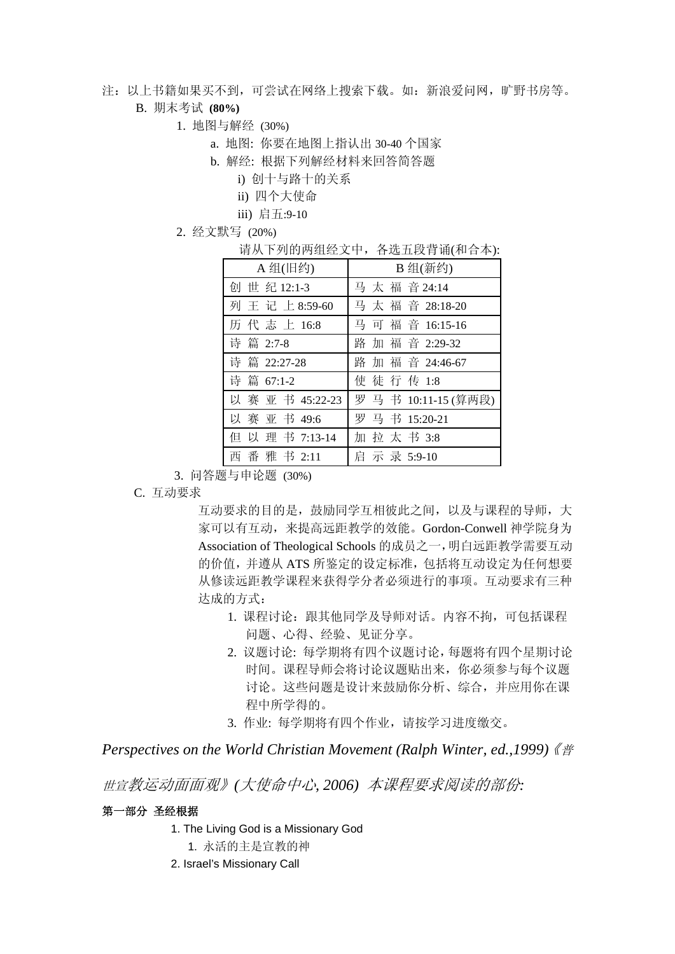注:以上书籍如果买不到,可尝试在网络上搜索下载。如:新浪爱问网,旷野书房等。

# B. 期末考试 **(80%)**

- 1. 地图与解经 (30%)
	- a. 地图: 你要在地图上指认出 30-40 个国家
	- b. 解经: 根据下列解经材料来回答简答题
		- i) 创十与路十的关系
		- ii) 四个大使命
		- iii) 启五:9-10
- 2. 经文默写 (20%)

请从下列的两组经文中,各选五段背诵(和合本):

| A 组(旧约)          | B 组(新约)            |
|------------------|--------------------|
| 创世纪12:1-3        | 马太福音24:14          |
| 列王记上8:59-60      | 马太福音 28:18-20      |
| 历代志上16:8         | 马 可 福 音 16:15-16   |
| 诗 篇 2:7-8        | 路加福音 2:29-32       |
| 诗 篇 22:27-28     | 路加福音 24:46-67      |
| 诗篇 67:1-2        | 使徒行传 1:8           |
| 以 赛 亚 书 45:22-23 | 罗马书 10:11-15 (算两段) |
| 以 赛 亚 书 49:6     | 罗马书 15:20-21       |
| 但以理书 7:13-14     | 加拉太书3:8            |
| 番 雅书 2:11        | 启示录 5:9-10         |

3. 问答题与申论题 (30%)

C. 互动要求

互动要求的目的是,鼓励同学互相彼此之间,以及与课程的导师,大 家可以有互动,来提高远距教学的效能。Gordon-Conwell 神学院身为 Association of Theological Schools 的成员之一,明白远距教学需要互动 的价值,并遵从 ATS 所鉴定的设定标准,包括将互动设定为任何想要 从修读远距教学课程来获得学分者必须进行的事项。互动要求有三种 达成的方式:

- 1. 课程讨论:跟其他同学及导师对话。内容不拘,可包括课程 问题、心得、经验、见证分享。
- 2. 议题讨论: 每学期将有四个议题讨论,每题将有四个星期讨论 时间。课程导师会将讨论议题贴出来,你必须参与每个议题 讨论。这些问题是设计来鼓励你分析、综合,并应用你在课 程中所学得的。
- 3. 作业: 每学期将有四个作业,请按学习进度缴交。

# *Perspectives on the World Christian Movement (Ralph Winter, ed.,1999)*《普

世宣教运动面面观》*(*大使命中心*, 2006)* 本课程要求阅读的部份*:*

# 第一部分 圣经根据

- 1. The Living God is a Missionary God
	- 1. 永活的主是宣教的神
- 2. Israel's Missionary Call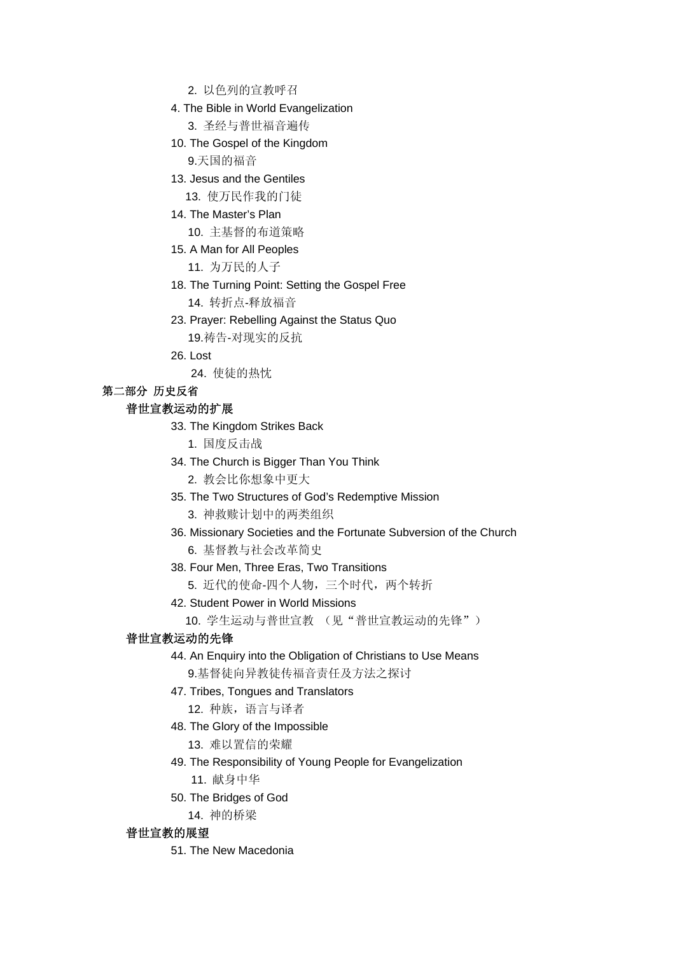- 2. 以色列的宣教呼召
- 4. The Bible in World Evangelization
	- 3. 圣经与普世福音遍传
- 10. The Gospel of the Kingdom 9.天国的福音
- 13. Jesus and the Gentiles
	- 13. 使万民作我的门徒
- 14. The Master's Plan
	- 10. 主基督的布道策略
- 15. A Man for All Peoples
	- 11. 为万民的人子
- 18. The Turning Point: Setting the Gospel Free 14. 转折点-释放福音
- 23. Prayer: Rebelling Against the Status Quo 19.祷告-对现实的反抗
- 26. Lost
	- 24. 使徒的热忱

# 第二部分 历史反省

# 普世宣教运动的扩展

- 33. The Kingdom Strikes Back
	- 1. 国度反击战
- 34. The Church is Bigger Than You Think
	- 2. 教会比你想象中更大
- 35. The Two Structures of God's Redemptive Mission
	- 3. 神救赎计划中的两类组织
- 36. Missionary Societies and the Fortunate Subversion of the Church
	- 6. 基督教与社会改革简史
- 38. Four Men, Three Eras, Two Transitions
	- 5. 近代的使命-四个人物,三个时代,两个转折
- 42. Student Power in World Missions
	- 10. 学生运动与普世宣教 (见"普世宣教运动的先锋")

# 普世宣教运动的先锋

- 44. An Enquiry into the Obligation of Christians to Use Means 9.基督徒向异教徒传福音责任及方法之探讨
- 47. Tribes, Tongues and Translators
	- 12. 种族,语言与译者
- 48. The Glory of the Impossible
	- 13. 难以置信的荣耀
- 49. The Responsibility of Young People for Evangelization
	- 11. 献身中华
- 50. The Bridges of God
	- 14. 神的桥梁

## 普世宣教的展望

51. The New Macedonia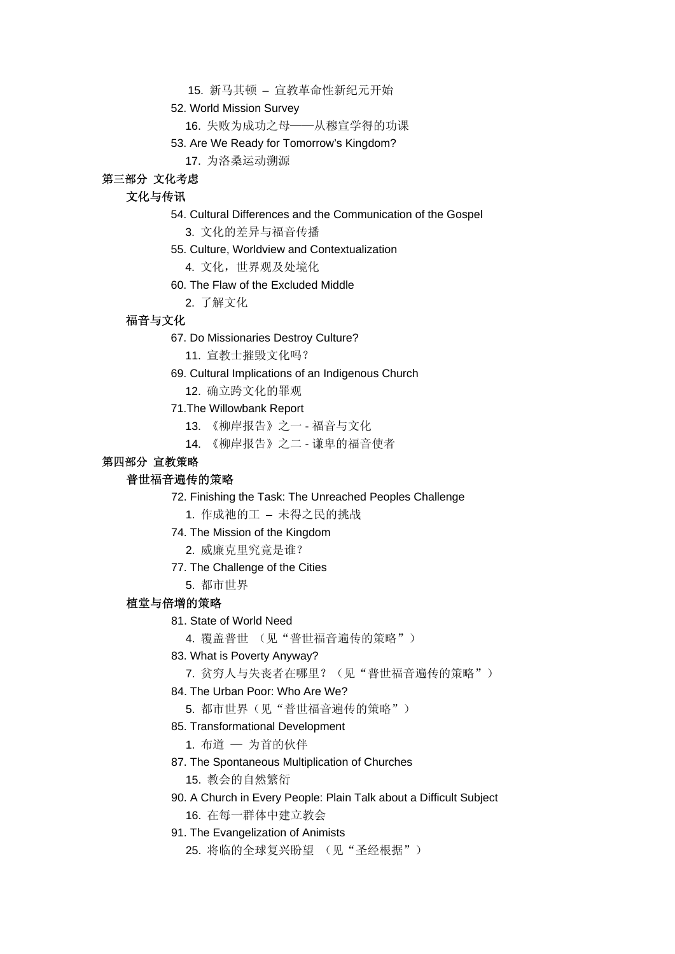15. 新马其顿 – 宣教革命性新纪元开始

52. World Mission Survey

16. 失败为成功之母——从穆宣学得的功课

53. Are We Ready for Tomorrow's Kingdom?

17. 为洛桑运动溯源

# 第三部分 文化考虑

# 文化与传讯

#### 54. Cultural Differences and the Communication of the Gospel

3. 文化的差异与福音传播

- 55. Culture, Worldview and Contextualization
	- 4. 文化,世界观及处境化
- 60. The Flaw of the Excluded Middle
	- 2. 了解文化

## 福音与文化

- 67. Do Missionaries Destroy Culture?
	- 11. 宣教士摧毁文化吗?
- 69. Cultural Implications of an Indigenous Church
	- 12. 确立跨文化的罪观

#### 71.The Willowbank Report

- 13. 《柳岸报告》之一 福音与文化
- 14. 《柳岸报告》之二 谦卑的福音使者

## 第四部分 宣教策略

# 普世福音遍传的策略

- 72. Finishing the Task: The Unreached Peoples Challenge
	- 1. 作成祂的工 未得之民的挑战
- 74. The Mission of the Kingdom
	- 2. 威廉克里究竟是谁?
- 77. The Challenge of the Cities
	- 5. 都市世界

# 植堂与倍增的策略

81. State of World Need

4. 覆盖普世 (见"普世福音遍传的策略")

#### 83. What is Poverty Anyway?

7. 贫穷人与失丧者在哪里?(见"普世福音遍传的策略")

#### 84. The Urban Poor: Who Are We?

5. 都市世界(见"普世福音遍传的策略")

## 85. Transformational Development

1. 布道 — 为首的伙伴

87. The Spontaneous Multiplication of Churches

15. 教会的自然繁衍

90. A Church in Every People: Plain Talk about a Difficult Subject

16. 在每一群体中建立教会

#### 91. The Evangelization of Animists

25. 将临的全球复兴盼望 (见"圣经根据")